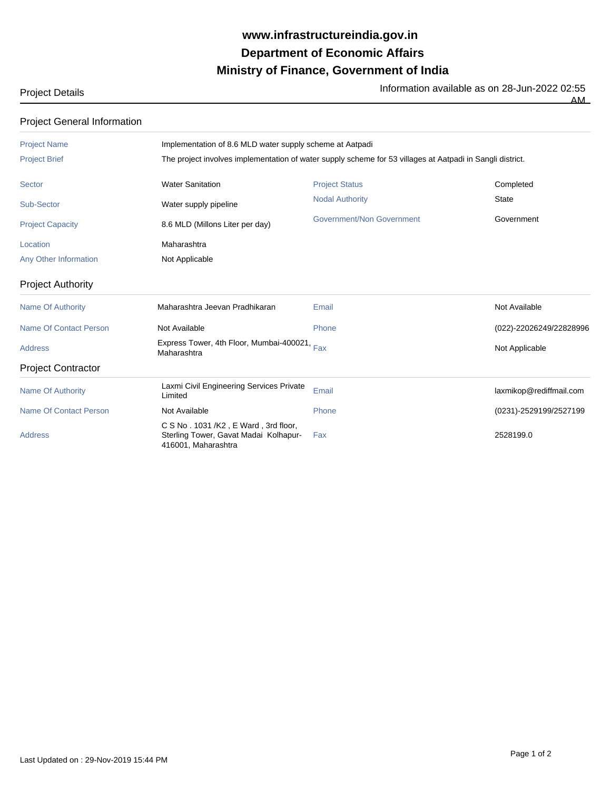## **Ministry of Finance, Government of India Department of Economic Affairs www.infrastructureindia.gov.in**

Project Details **Information available as on 28-Jun-2022 02:55**<br>The Information available as on 28-Jun-2022 02:55

AM

| <b>Project General Information</b> |                                                                                                           |                           |                         |  |
|------------------------------------|-----------------------------------------------------------------------------------------------------------|---------------------------|-------------------------|--|
| <b>Project Name</b>                | Implementation of 8.6 MLD water supply scheme at Aatpadi                                                  |                           |                         |  |
| <b>Project Brief</b>               | The project involves implementation of water supply scheme for 53 villages at Aatpadi in Sangli district. |                           |                         |  |
| <b>Sector</b>                      | <b>Water Sanitation</b>                                                                                   | <b>Project Status</b>     | Completed               |  |
| Sub-Sector                         | Water supply pipeline                                                                                     | <b>Nodal Authority</b>    | <b>State</b>            |  |
| <b>Project Capacity</b>            | 8.6 MLD (Millons Liter per day)                                                                           | Government/Non Government | Government              |  |
| Location                           | Maharashtra                                                                                               |                           |                         |  |
| Any Other Information              | Not Applicable                                                                                            |                           |                         |  |
| <b>Project Authority</b>           |                                                                                                           |                           |                         |  |
| <b>Name Of Authority</b>           | Maharashtra Jeevan Pradhikaran                                                                            | Email                     | Not Available           |  |
| Name Of Contact Person             | Not Available                                                                                             | Phone                     | (022)-22026249/22828996 |  |
| <b>Address</b>                     | Express Tower, 4th Floor, Mumbai-400021, Fax<br>Maharashtra                                               |                           | Not Applicable          |  |
| <b>Project Contractor</b>          |                                                                                                           |                           |                         |  |
| <b>Name Of Authority</b>           | Laxmi Civil Engineering Services Private<br>Limited                                                       | Email                     | laxmikop@rediffmail.com |  |
| Name Of Contact Person             | Not Available                                                                                             | Phone                     | (0231)-2529199/2527199  |  |
| <b>Address</b>                     | C S No . 1031 /K2, E Ward, 3rd floor,<br>Sterling Tower, Gavat Madai Kolhapur-<br>416001, Maharashtra     | Fax                       | 2528199.0               |  |